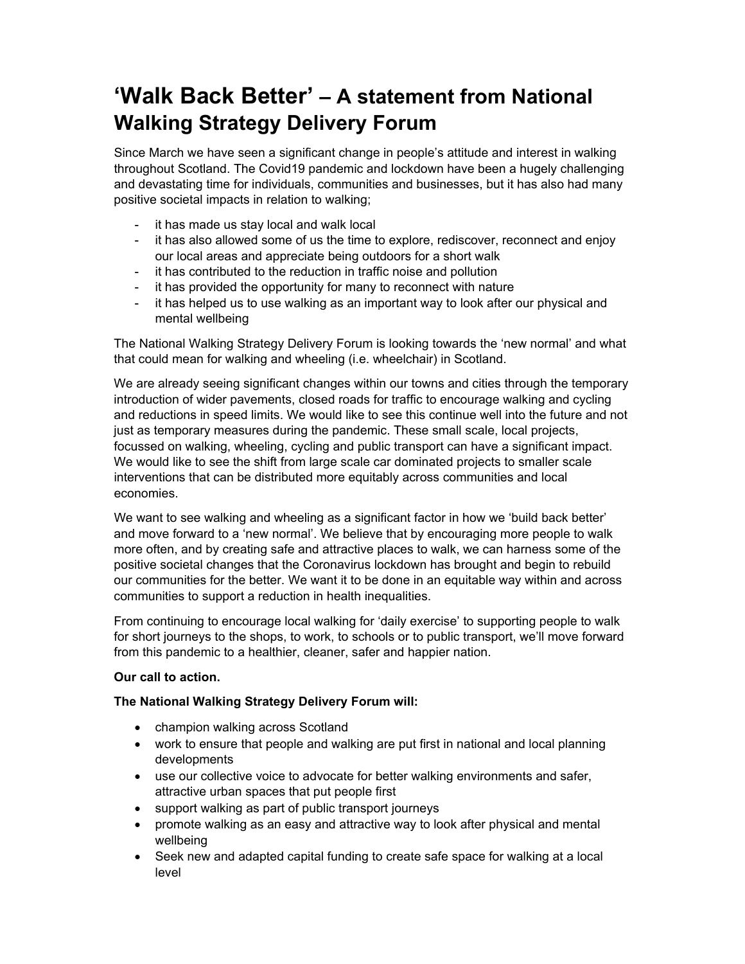# **'Walk Back Better' – A statement from National Walking Strategy Delivery Forum**

Since March we have seen a significant change in people's attitude and interest in walking throughout Scotland. The Covid19 pandemic and lockdown have been a hugely challenging and devastating time for individuals, communities and businesses, but it has also had many positive societal impacts in relation to walking;

- it has made us stay local and walk local
- it has also allowed some of us the time to explore, rediscover, reconnect and enjoy our local areas and appreciate being outdoors for a short walk
- it has contributed to the reduction in traffic noise and pollution
- it has provided the opportunity for many to reconnect with nature
- it has helped us to use walking as an important way to look after our physical and mental wellbeing

The National Walking Strategy Delivery Forum is looking towards the 'new normal' and what that could mean for walking and wheeling (i.e. wheelchair) in Scotland.

We are already seeing significant changes within our towns and cities through the temporary introduction of wider pavements, closed roads for traffic to encourage walking and cycling and reductions in speed limits. We would like to see this continue well into the future and not just as temporary measures during the pandemic. These small scale, local projects, focussed on walking, wheeling, cycling and public transport can have a significant impact. We would like to see the shift from large scale car dominated projects to smaller scale interventions that can be distributed more equitably across communities and local economies.

We want to see walking and wheeling as a significant factor in how we 'build back better' and move forward to a 'new normal'. We believe that by encouraging more people to walk more often, and by creating safe and attractive places to walk, we can harness some of the positive societal changes that the Coronavirus lockdown has brought and begin to rebuild our communities for the better. We want it to be done in an equitable way within and across communities to support a reduction in health inequalities.

From continuing to encourage local walking for 'daily exercise' to supporting people to walk for short journeys to the shops, to work, to schools or to public transport, we'll move forward from this pandemic to a healthier, cleaner, safer and happier nation.

### **Our call to action.**

### **The National Walking Strategy Delivery Forum will:**

- champion walking across Scotland
- work to ensure that people and walking are put first in national and local planning developments
- use our collective voice to advocate for better walking environments and safer, attractive urban spaces that put people first
- support walking as part of public transport journeys
- promote walking as an easy and attractive way to look after physical and mental wellbeing
- Seek new and adapted capital funding to create safe space for walking at a local level